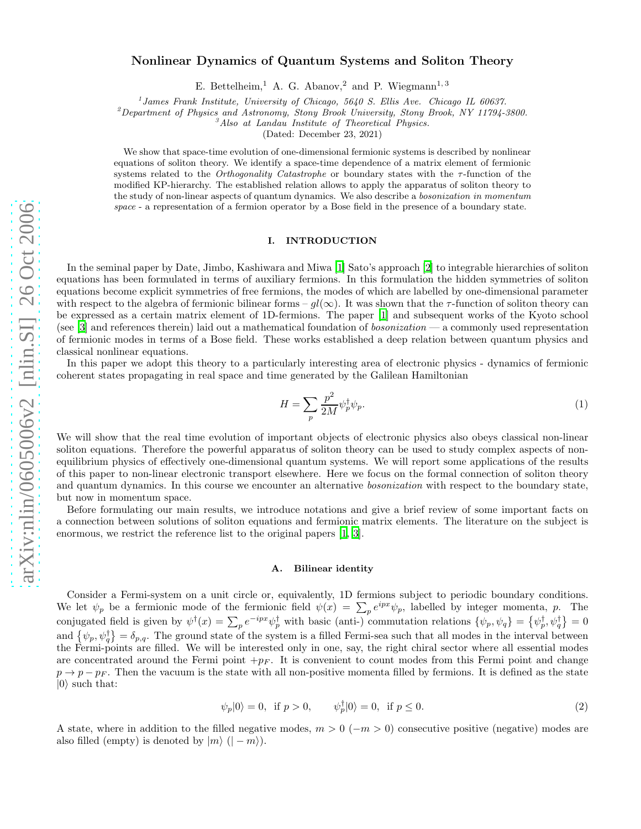# Nonlinear Dynamics of Quantum Systems and Soliton Theory

E. Bettelheim,<sup>1</sup> A. G. Abanov,<sup>2</sup> and P. Wiegmann<sup>1,3</sup>

<sup>1</sup> James Frank Institute, University of Chicago, 5640 S. Ellis Ave. Chicago IL 60637.

 ${}^{2}$ Department of Physics and Astronomy, Stony Brook University, Stony Brook, NY 11794-3800.

 ${}^3$ Also at Landau Institute of Theoretical Physics.

(Dated: December 23, 2021)

We show that space-time evolution of one-dimensional fermionic systems is described by nonlinear equations of soliton theory. We identify a space-time dependence of a matrix element of fermionic systems related to the *Orthogonality Catastrophe* or boundary states with the  $\tau$ -function of the modified KP-hierarchy. The established relation allows to apply the apparatus of soliton theory to the study of non-linear aspects of quantum dynamics. We also describe a bosonization in momentum space - a representation of a fermion operator by a Bose field in the presence of a boundary state.

## I. INTRODUCTION

In the seminal paper by Date, Jimbo, Kashiwara and Miwa [\[1](#page-12-0)] Sato's approach [\[2](#page-12-1)] to integrable hierarchies of soliton equations has been formulated in terms of auxiliary fermions. In this formulation the hidden symmetries of soliton equations become explicit symmetries of free fermions, the modes of which are labelled by one-dimensional parameter with respect to the algebra of fermionic bilinear forms –  $gl(\infty)$ . It was shown that the  $\tau$ -function of soliton theory can be expressed as a certain matrix element of 1D-fermions. The paper [\[1\]](#page-12-0) and subsequent works of the Kyoto school (see  $[3]$  and references therein) laid out a mathematical foundation of *bosonization* — a commonly used representation of fermionic modes in terms of a Bose field. These works established a deep relation between quantum physics and classical nonlinear equations.

In this paper we adopt this theory to a particularly interesting area of electronic physics - dynamics of fermionic coherent states propagating in real space and time generated by the Galilean Hamiltonian

<span id="page-0-1"></span>
$$
H = \sum_{p} \frac{p^2}{2M} \psi_p^{\dagger} \psi_p. \tag{1}
$$

We will show that the real time evolution of important objects of electronic physics also obeys classical non-linear soliton equations. Therefore the powerful apparatus of soliton theory can be used to study complex aspects of nonequilibrium physics of effectively one-dimensional quantum systems. We will report some applications of the results of this paper to non-linear electronic transport elsewhere. Here we focus on the formal connection of soliton theory and quantum dynamics. In this course we encounter an alternative *bosonization* with respect to the boundary state, but now in momentum space.

Before formulating our main results, we introduce notations and give a brief review of some important facts on a connection between solutions of soliton equations and fermionic matrix elements. The literature on the subject is enormous, we restrict the reference list to the original papers [\[1](#page-12-0), [3\]](#page-12-2).

## A. Bilinear identity

Consider a Fermi-system on a unit circle or, equivalently, 1D fermions subject to periodic boundary conditions. We let  $\psi_p$  be a fermionic mode of the fermionic field  $\psi(x) = \sum_p e^{ipx} \psi_p$ , labelled by integer momenta, p. The conjugated field is given by  $\psi^{\dagger}(x) = \sum_{p} e^{-ipx} \psi^{\dagger}_{p}$  with basic (anti-) commutation relations  $\{\psi_p, \psi_q\} = \{\psi^{\dagger}_p, \psi^{\dagger}_q\} = 0$ and  $\{\psi_p,\psi_q^{\dagger}\}=\delta_{p,q}$ . The ground state of the system is a filled Fermi-sea such that all modes in the interval between the Fermi-points are filled. We will be interested only in one, say, the right chiral sector where all essential modes are concentrated around the Fermi point  $+p_F$ . It is convenient to count modes from this Fermi point and change  $p \rightarrow p - p_F$ . Then the vacuum is the state with all non-positive momenta filled by fermions. It is defined as the state  $|0\rangle$  such that:

$$
\psi_p|0\rangle = 0, \text{ if } p > 0, \qquad \psi_p^{\dagger}|0\rangle = 0, \text{ if } p \le 0. \tag{2}
$$

<span id="page-0-0"></span>A state, where in addition to the filled negative modes,  $m > 0$  ( $-m > 0$ ) consecutive positive (negative) modes are also filled (empty) is denoted by  $|m\rangle$  ( $|-m\rangle$ ).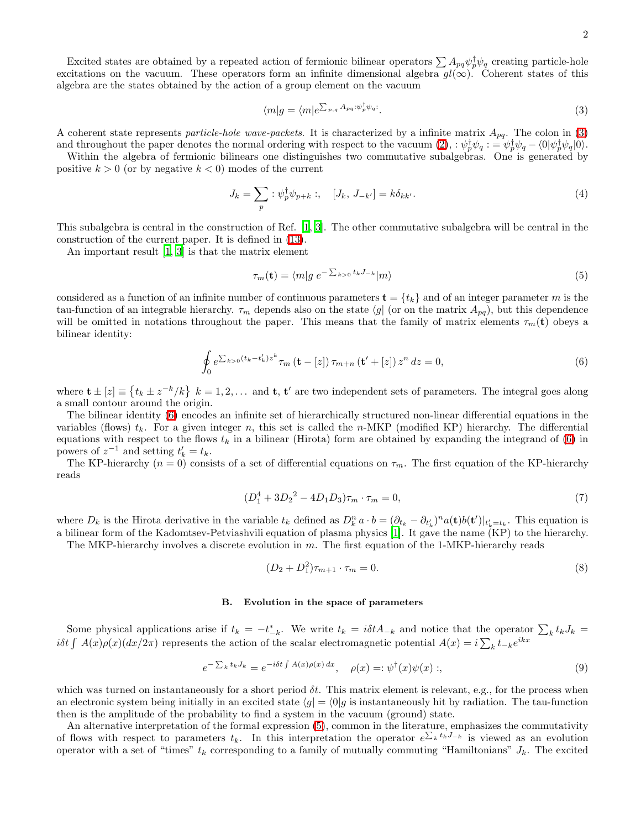<span id="page-1-0"></span>
$$
\langle m|g = \langle m|e^{\sum_{p,q} A_{pq} \cdot \psi_p^{\dagger} \psi_q}.\tag{3}
$$

A coherent state represents particle-hole wave-packets. It is characterized by a infinite matrix  $A_{pq}$ . The colon in [\(3\)](#page-1-0) and throughout the paper denotes the normal ordering with respect to the vacuum  $(2)$ ,  $\psi_p^{\dagger} \psi_q = \psi_p^{\dagger} \psi_q - \langle 0 | \psi_p^{\dagger} \psi_q | 0 \rangle$ .

Within the algebra of fermionic bilinears one distinguishes two commutative subalgebras. One is generated by positive  $k > 0$  (or by negative  $k < 0$ ) modes of the current

<span id="page-1-3"></span>
$$
J_k = \sum_p : \psi_p^{\dagger} \psi_{p+k} : , \quad [J_k, J_{-k'}] = k \delta_{kk'}.
$$
\n
$$
(4)
$$

This subalgebra is central in the construction of Ref. [\[1,](#page-12-0) [3\]](#page-12-2). The other commutative subalgebra will be central in the construction of the current paper. It is defined in [\(13\)](#page-2-0).

An important result [\[1,](#page-12-0) [3\]](#page-12-2) is that the matrix element

<span id="page-1-2"></span>
$$
\tau_m(\mathbf{t}) = \langle m|g \; e^{-\sum_{k>0} t_k J_{-k}}|m\rangle \tag{5}
$$

<span id="page-1-1"></span>considered as a function of an infinite number of continuous parameters  $\mathbf{t} = \{t_k\}$  and of an integer parameter m is the tau-function of an integrable hierarchy.  $\tau_m$  depends also on the state  $\langle g|$  (or on the matrix  $A_{pq}$ ), but this dependence will be omitted in notations throughout the paper. This means that the family of matrix elements  $\tau_m(\mathbf{t})$  obeys a bilinear identity:

$$
\oint_{0} e^{\sum_{k>0} (t_k - t'_k) z^k} \tau_m \left( \mathbf{t} - [z] \right) \tau_{m+n} \left( \mathbf{t}' + [z] \right) z^n dz = 0,
$$
\n
$$
(6)
$$

where  $\mathbf{t} \pm [z] \equiv \{t_k \pm z^{-k}/k\}$   $k = 1, 2, \dots$  and  $\mathbf{t}$ ,  $\mathbf{t}'$  are two independent sets of parameters. The integral goes along a small contour around the origin.

The bilinear identity [\(6\)](#page-1-1) encodes an infinite set of hierarchically structured non-linear differential equations in the variables (flows)  $t_k$ . For a given integer n, this set is called the n-MKP (modified KP) hierarchy. The differential equations with respect to the flows  $t_k$  in a bilinear (Hirota) form are obtained by expanding the integrand of [\(6\)](#page-1-1) in powers of  $z^{-1}$  and setting  $t'_{k} = t_{k}$ .

The KP-hierarchy  $(n = 0)$  consists of a set of differential equations on  $\tau_m$ . The first equation of the KP-hierarchy reads

$$
(D_1^4 + 3D_2^2 - 4D_1D_3)\tau_m \cdot \tau_m = 0,\tag{7}
$$

where  $D_k$  is the Hirota derivative in the variable  $t_k$  defined as  $D_k^n a \cdot b = (\partial_{t_k} - \partial_{t'_k})^n a(\mathbf{t}) b(\mathbf{t'})|_{t'_k=t_k}$ . This equation is a bilinear form of the Kadomtsev-Petviashvili equation of plasma physics [\[1\]](#page-12-0). It gave the name (KP) to the hierarchy.

The MKP-hierarchy involves a discrete evolution in  $m$ . The first equation of the 1-MKP-hierarchy reads

<span id="page-1-5"></span><span id="page-1-4"></span>
$$
(D_2 + D_1^2)\tau_{m+1} \cdot \tau_m = 0. \tag{8}
$$

# B. Evolution in the space of parameters

Some physical applications arise if  $t_k = -t_{-k}^*$ . We write  $t_k = i\delta t A_{-k}$  and notice that the operator  $\sum_k t_k J_k =$ iot  $\int A(x)\rho(x)(dx/2\pi)$  represents the action of the scalar electromagnetic potential  $A(x) = i\sum_{k} t_{-k}e^{ikx}$ 

$$
e^{-\sum_{k} t_{k} J_{k}} = e^{-i\delta t \int A(x)\rho(x) dx}, \quad \rho(x) =: \psi^{\dagger}(x)\psi(x) ;
$$
\n(9)

which was turned on instantaneously for a short period  $\delta t$ . This matrix element is relevant, e.g., for the process when an electronic system being initially in an excited state  $\langle g | = \langle 0 | g$  is instantaneously hit by radiation. The tau-function then is the amplitude of the probability to find a system in the vacuum (ground) state.

An alternative interpretation of the formal expression [\(5\)](#page-1-2), common in the literature, emphasizes the commutativity of flows with respect to parameters  $t_k$ . In this interpretation the operator  $e^{\sum_k t_kJ_{-k}}$  is viewed as an evolution operator with a set of "times"  $t_k$  corresponding to a family of mutually commuting "Hamiltonians"  $J_k$ . The excited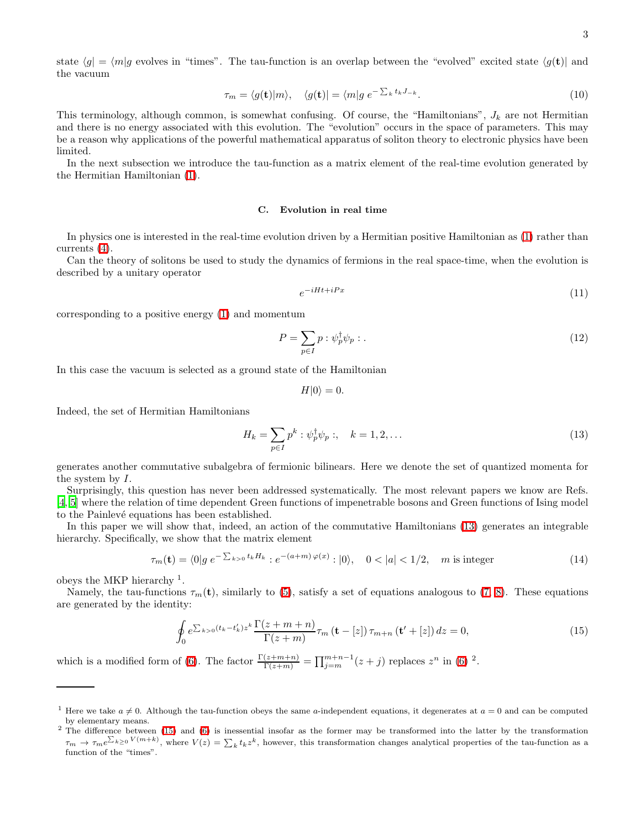state  $\langle g | = \langle m | g$  evolves in "times". The tau-function is an overlap between the "evolved" excited state  $\langle g(t) |$  and the vacuum

$$
\tau_m = \langle g(\mathbf{t}) | m \rangle, \quad \langle g(\mathbf{t}) | = \langle m | g \ e^{-\sum_k t_k J_{-k}}. \tag{10}
$$

This terminology, although common, is somewhat confusing. Of course, the "Hamiltonians",  $J_k$  are not Hermitian and there is no energy associated with this evolution. The "evolution" occurs in the space of parameters. This may be a reason why applications of the powerful mathematical apparatus of soliton theory to electronic physics have been limited.

In the next subsection we introduce the tau-function as a matrix element of the real-time evolution generated by the Hermitian Hamiltonian [\(1\)](#page-0-1).

#### C. Evolution in real time

In physics one is interested in the real-time evolution driven by a Hermitian positive Hamiltonian as [\(1\)](#page-0-1) rather than currents [\(4\)](#page-1-3).

Can the theory of solitons be used to study the dynamics of fermions in the real space-time, when the evolution is described by a unitary operator

$$
e^{-iHt + iPx} \tag{11}
$$

corresponding to a positive energy [\(1\)](#page-0-1) and momentum

<span id="page-2-3"></span>
$$
P = \sum_{p \in I} p : \psi_p^{\dagger} \psi_p : . \tag{12}
$$

In this case the vacuum is selected as a ground state of the Hamiltonian

$$
H|0\rangle = 0.
$$

Indeed, the set of Hermitian Hamiltonians

<span id="page-2-2"></span><span id="page-2-0"></span>
$$
H_k = \sum_{p \in I} p^k : \psi_p^{\dagger} \psi_p : , \quad k = 1, 2, \dots
$$
 (13)

generates another commutative subalgebra of fermionic bilinears. Here we denote the set of quantized momenta for the system by I.

Surprisingly, this question has never been addressed systematically. The most relevant papers we know are Refs. [\[4,](#page-13-0) [5](#page-13-1)] where the relation of time dependent Green functions of impenetrable bosons and Green functions of Ising model to the Painlevé equations has been established.

In this paper we will show that, indeed, an action of the commutative Hamiltonians [\(13\)](#page-2-0) generates an integrable hierarchy. Specifically, we show that the matrix element

<span id="page-2-1"></span>
$$
\tau_m(\mathbf{t}) = \langle 0 | g \, e^{-\sum_{k>0} t_k H_k} : e^{-(a+m)\,\varphi(x)} : |0\rangle, \quad 0 < |a| < 1/2, \quad m \text{ is integer} \tag{14}
$$

obeys the MKP hierarchy  $<sup>1</sup>$ .</sup>

Namely, the tau-functions  $\tau_m(t)$ , similarly to [\(5\)](#page-1-2), satisfy a set of equations analogous to [\(7,](#page-1-4) [8\)](#page-1-5). These equations are generated by the identity:

$$
\oint_{0} e^{\sum_{k>0} (t_k - t'_k) z^k} \frac{\Gamma(z + m + n)}{\Gamma(z + m)} \tau_m \left( \mathbf{t} - [z] \right) \tau_{m+n} \left( \mathbf{t}' + [z] \right) dz = 0,
$$
\n(15)

which is a modified form of [\(6\)](#page-1-1). The factor  $\frac{\Gamma(z+m+n)}{\Gamma(z+m)} = \prod_{j=m}^{m+n-1} (z+j)$  replaces  $z^n$  in (6) <sup>2</sup>.

<sup>&</sup>lt;sup>1</sup> Here we take  $a \neq 0$ . Although the tau-function obeys the same a-independent equations, it degenerates at  $a = 0$  and can be computed by elementary means.

<sup>&</sup>lt;sup>2</sup> The difference between [\(15\)](#page-2-1) and [\(6\)](#page-1-1) is inessential insofar as the former may be transformed into the latter by the transformation  $\tau_m \to \tau_m e^{\sum_{k\geq 0} V(m+k)}$ , where  $V(z) = \sum_k t_k z^k$ , however, this transformation changes analytical properties of the tau-function as a function of the "times".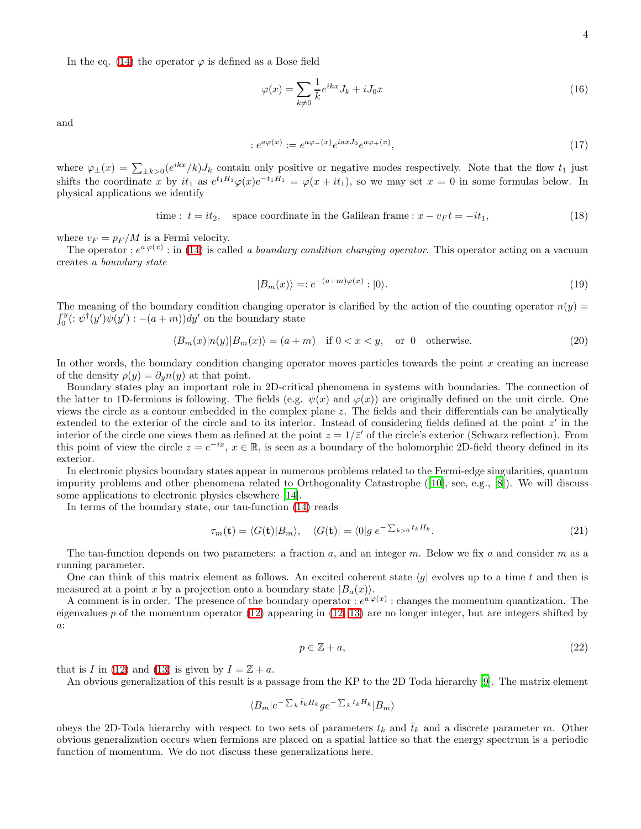In the eq. [\(14\)](#page-2-2) the operator  $\varphi$  is defined as a Bose field

$$
\varphi(x) = \sum_{k \neq 0} \frac{1}{k} e^{ikx} J_k + iJ_0 x \tag{16}
$$

and

$$
:e^{a\varphi(x)}:=e^{a\varphi_-(x)}e^{iaxJ_0}e^{a\varphi_+(x)},\tag{17}
$$

where  $\varphi_{\pm}(x) = \sum_{\pm k>0} (e^{ikx}/k) J_k$  contain only positive or negative modes respectively. Note that the flow  $t_1$  just shifts the coordinate x by  $it_1$  as  $e^{t_1H_1}\varphi(x)e^{-t_1H_1} = \varphi(x+it_1)$ , so we may set  $x = 0$  in some formulas below. In physical applications we identify

<span id="page-3-0"></span>time: 
$$
t = it_2
$$
, space coordinate in the Galilean frame:  $x - v_F t = -it_1$ , (18)

where  $v_F = p_F/M$  is a Fermi velocity.

The operator :  $e^{a\varphi(x)}$ : in [\(14\)](#page-2-2) is called a boundary condition changing operator. This operator acting on a vacuum creates a boundary state

$$
|B_m(x)\rangle =: e^{-(a+m)\varphi(x)}: |0\rangle. \tag{19}
$$

 $\int_{0}^{y}$ The meaning of the boundary condition changing operator is clarified by the action of the counting operator  $n(y)$  =  $\int_0^y (\colon \psi^{\dagger}(y') \psi(y') : -(a+m)) dy'$  on the boundary state

$$
\langle B_m(x)|n(y)|B_m(x)\rangle = (a+m) \quad \text{if } 0 < x < y, \quad \text{or } 0 \quad \text{otherwise.} \tag{20}
$$

In other words, the boundary condition changing operator moves particles towards the point  $x$  creating an increase of the density  $\rho(y) = \partial_y n(y)$  at that point.

Boundary states play an important role in 2D-critical phenomena in systems with boundaries. The connection of the latter to 1D-fermions is following. The fields (e.g.  $\psi(x)$  and  $\varphi(x)$ ) are originally defined on the unit circle. One views the circle as a contour embedded in the complex plane z. The fields and their differentials can be analytically extended to the exterior of the circle and to its interior. Instead of considering fields defined at the point  $z'$  in the interior of the circle one views them as defined at the point  $z = 1/\bar{z}'$  of the circle's exterior (Schwarz reflection). From this point of view the circle  $z = e^{-ix}$ ,  $x \in \mathbb{R}$ , is seen as a boundary of the holomorphic 2D-field theory defined in its exterior.

In electronic physics boundary states appear in numerous problems related to the Fermi-edge singularities, quantum impurity problems and other phenomena related to Orthogonality Catastrophe([\[10](#page-13-2)], see, e.g., [\[8](#page-13-3)]). We will discuss some applications to electronic physics elsewhere [\[14\]](#page-13-4).

In terms of the boundary state, our tau-function [\(14\)](#page-2-2) reads

$$
\tau_m(\mathbf{t}) = \langle G(\mathbf{t}) | B_m \rangle, \quad \langle G(\mathbf{t}) | = \langle 0 | g \, e^{-\sum_{k>0} t_k H_k}.
$$
\n(21)

The tau-function depends on two parameters: a fraction a, and an integer  $m$ . Below we fix a and consider  $m$  as a running parameter.

One can think of this matrix element as follows. An excited coherent state  $\langle g|$  evolves up to a time t and then is measured at a point x by a projection onto a boundary state  $|B_a(x)\rangle$ .

A comment is in order. The presence of the boundary operator :  $e^{a\varphi(x)}$  : changes the momentum quantization. The eigenvalues p of the momentum operator  $(12)$  appearing in  $(12, 13)$  $(12, 13)$  are no longer integer, but are integers shifted by a:

$$
p \in \mathbb{Z} + a,\tag{22}
$$

that is I in [\(12\)](#page-2-3) and [\(13\)](#page-2-0) is given by  $I = \mathbb{Z} + a$ .

An obvious generalization of this result is a passage from the KP to the 2D Toda hierarchy [\[9\]](#page-13-5). The matrix element

$$
\langle B_m|e^{-\sum_k \bar{t}_k H_k} g e^{-\sum_k t_k H_k}|B_m\rangle
$$

obeys the 2D-Toda hierarchy with respect to two sets of parameters  $t_k$  and  $\bar{t}_k$  and a discrete parameter m. Other obvious generalization occurs when fermions are placed on a spatial lattice so that the energy spectrum is a periodic function of momentum. We do not discuss these generalizations here.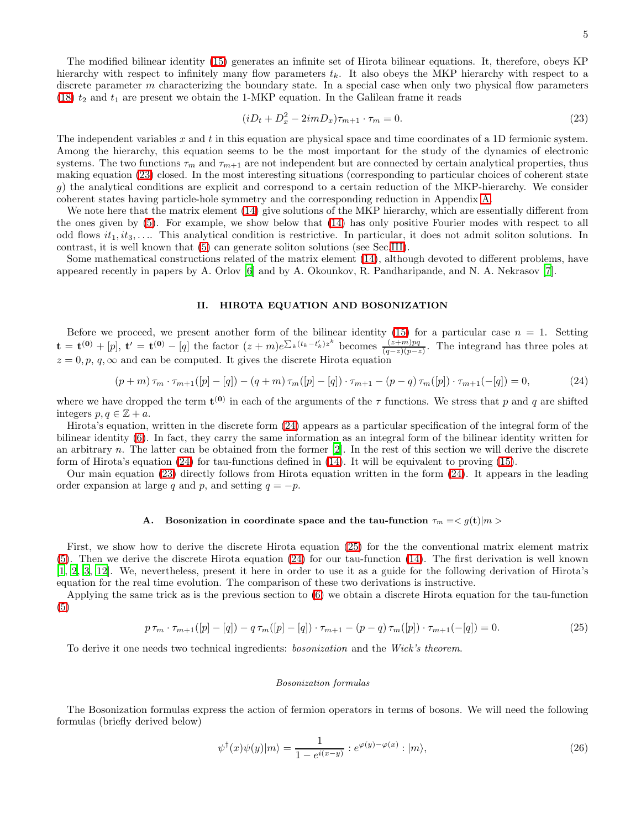<span id="page-4-0"></span>
$$
(iD_t + D_x^2 - 2imD_x)\tau_{m+1} \cdot \tau_m = 0.
$$
\n(23)

The independent variables  $x$  and  $t$  in this equation are physical space and time coordinates of a 1D fermionic system. Among the hierarchy, this equation seems to be the most important for the study of the dynamics of electronic systems. The two functions  $\tau_m$  and  $\tau_{m+1}$  are not independent but are connected by certain analytical properties, thus making equation [\(23\)](#page-4-0) closed. In the most interesting situations (corresponding to particular choices of coherent state g) the analytical conditions are explicit and correspond to a certain reduction of the MKP-hierarchy. We consider coherent states having particle-hole symmetry and the corresponding reduction in Appendix [A.](#page-11-0)

We note here that the matrix element [\(14\)](#page-2-2) give solutions of the MKP hierarchy, which are essentially different from the ones given by [\(5\)](#page-1-2). For example, we show below that [\(14\)](#page-2-2) has only positive Fourier modes with respect to all odd flows  $it_1, it_3, \ldots$ . This analytical condition is restrictive. In particular, it does not admit soliton solutions. In contrast, it is well known that [\(5\)](#page-1-2) can generate soliton solutions (see Sec[.III\)](#page-9-0).

Some mathematical constructions related of the matrix element [\(14\)](#page-2-2), although devoted to different problems, have appeared recently in papers by A. Orlov [\[6\]](#page-13-6) and by A. Okounkov, R. Pandharipande, and N. A. Nekrasov [\[7](#page-13-7)].

# <span id="page-4-1"></span>II. HIROTA EQUATION AND BOSONIZATION

Before we proceed, we present another form of the bilinear identity [\(15\)](#page-2-1) for a particular case  $n = 1$ . Setting  $\mathbf{t} = \mathbf{t}^{(0)} + [p], \mathbf{t}' = \mathbf{t}^{(0)} - [q]$  the factor  $(z+m)e^{\sum_{k}(t_k-t'_k)z^k}$  becomes  $\frac{(z+m)pq}{(q-z)(p-z)}$ . The integrand has three poles at  $z = 0, p, q, \infty$  and can be computed. It gives the discrete Hirota equation

$$
(p+m)\tau_m \cdot \tau_{m+1}([p]-[q]) - (q+m)\tau_m([p]-[q]) \cdot \tau_{m+1} - (p-q)\tau_m([p]) \cdot \tau_{m+1}(-[q]) = 0, \qquad (24)
$$

where we have dropped the term  $\mathbf{t}^{(0)}$  in each of the arguments of the  $\tau$  functions. We stress that p and q are shifted integers  $p, q \in \mathbb{Z} + a$ .

Hirota's equation, written in the discrete form [\(24\)](#page-4-1) appears as a particular specification of the integral form of the bilinear identity [\(6\)](#page-1-1). In fact, they carry the same information as an integral form of the bilinear identity written for an arbitrary n. The latter can be obtained from the former  $[2]$ . In the rest of this section we will derive the discrete form of Hirota's equation [\(24\)](#page-4-1) for tau-functions defined in [\(14\)](#page-2-2). It will be equivalent to proving [\(15\)](#page-2-1).

Our main equation [\(23\)](#page-4-0) directly follows from Hirota equation written in the form [\(24\)](#page-4-1). It appears in the leading order expansion at large q and p, and setting  $q = -p$ .

### **A.** Bosonization in coordinate space and the tau-function  $\tau_m = \langle g(t) | m \rangle$

First, we show how to derive the discrete Hirota equation [\(25\)](#page-4-2) for the the conventional matrix element matrix [\(5\)](#page-1-2). Then we derive the discrete Hirota equation [\(24\)](#page-4-1) for our tau-function [\(14\)](#page-2-2). The first derivation is well known [\[1,](#page-12-0) [2,](#page-12-1) [3,](#page-12-2) [12](#page-13-8)]. We, nevertheless, present it here in order to use it as a guide for the following derivation of Hirota's equation for the real time evolution. The comparison of these two derivations is instructive.

Applying the same trick as is the previous section to [\(6\)](#page-1-1) we obtain a discrete Hirota equation for the tau-function [\(5\)](#page-1-2)

$$
p \tau_m \cdot \tau_{m+1}([p] - [q]) - q \tau_m([p] - [q]) \cdot \tau_{m+1} - (p - q) \tau_m([p]) \cdot \tau_{m+1}(-[q]) = 0. \tag{25}
$$

To derive it one needs two technical ingredients: bosonization and the Wick's theorem.

#### <span id="page-4-2"></span>Bosonization formulas

<span id="page-4-3"></span>The Bosonization formulas express the action of fermion operators in terms of bosons. We will need the following formulas (briefly derived below)

$$
\psi^{\dagger}(x)\psi(y)|m\rangle = \frac{1}{1 - e^{i(x - y)}} : e^{\varphi(y) - \varphi(x)} : |m\rangle,
$$
\n(26)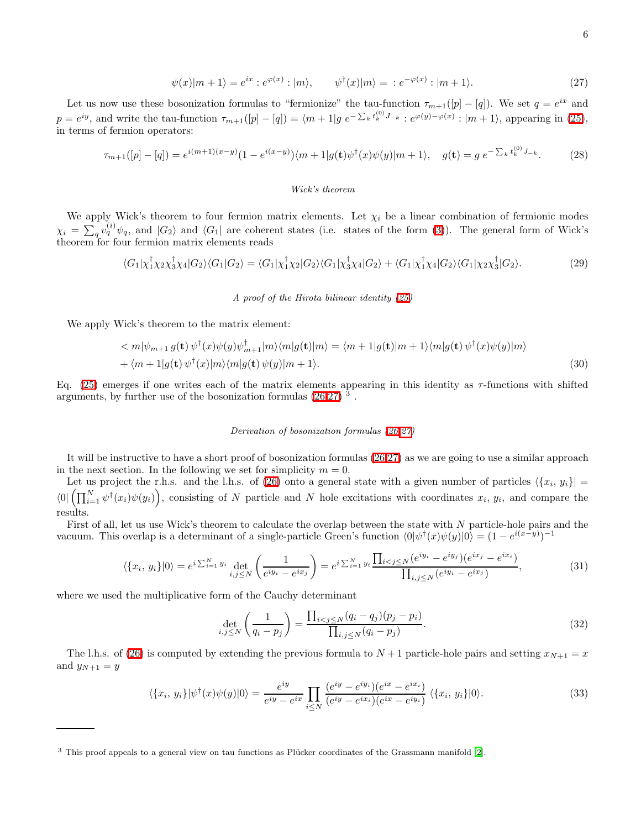$$
\psi(x)|m+1\rangle = e^{ix} : e^{\varphi(x)} : |m\rangle, \qquad \psi^{\dagger}(x)|m\rangle = : e^{-\varphi(x)} : |m+1\rangle. \tag{27}
$$

<span id="page-5-0"></span>Let us now use these bosonization formulas to "fermionize" the tau-function  $\tau_{m+1}([p] - [q])$ . We set  $q = e^{ix}$  and  $p = e^{iy}$ , and write the tau-function  $\tau_{m+1}([p] - [q]) = \langle m+1|g \, e^{-\sum_k t_k^{(0)} J_{-k}} : e^{\varphi(y) - \varphi(x)} : |m+1\rangle$ , appearing in [\(25\)](#page-4-2), in terms of fermion operators:

$$
\tau_{m+1}([p]-[q]) = e^{i(m+1)(x-y)}(1 - e^{i(x-y)})\langle m+1|g(\mathbf{t})\psi^{\dagger}(x)\psi(y)|m+1\rangle, \quad g(\mathbf{t}) = g \ e^{-\sum_{k} t_k^{(0)} J_{-k}}.
$$
 (28)

# Wick's theorem

We apply Wick's theorem to four fermion matrix elements. Let  $\chi_i$  be a linear combination of fermionic modes  $\chi_i = \sum_q v_q^{(i)} \psi_q$ , and  $|G_2\rangle$  and  $\langle G_1|$  are coherent states (i.e. states of the form [\(3\)](#page-1-0)). The general form of Wick's theorem for four fermion matrix elements reads

$$
\langle G_1|\chi_1^{\dagger}\chi_2\chi_3^{\dagger}\chi_4|G_2\rangle\langle G_1|G_2\rangle = \langle G_1|\chi_1^{\dagger}\chi_2|G_2\rangle\langle G_1|\chi_3^{\dagger}\chi_4|G_2\rangle + \langle G_1|\chi_1^{\dagger}\chi_4|G_2\rangle\langle G_1|\chi_2\chi_3^{\dagger}|G_2\rangle. \tag{29}
$$

A proof of the Hirota bilinear identity [\(25\)](#page-4-2)

We apply Wick's theorem to the matrix element:

$$
\langle m|\psi_{m+1} g(\mathbf{t}) \psi^{\dagger}(x)\psi(y)\psi^{\dagger}_{m+1}|m\rangle\langle m|g(\mathbf{t})|m\rangle = \langle m+1|g(\mathbf{t})|m+1\rangle\langle m|g(\mathbf{t}) \psi^{\dagger}(x)\psi(y)|m\rangle + \langle m+1|g(\mathbf{t}) \psi^{\dagger}(x)|m\rangle\langle m|g(\mathbf{t}) \psi(y)|m+1\rangle.
$$
\n(30)

Eq.  $(25)$  emerges if one writes each of the matrix elements appearing in this identity as  $\tau$ -functions with shifted arguments, by further use of the bosonization formulas  $(26,27)^3$  $(26,27)^3$  $(26,27)^3$ .

## <span id="page-5-3"></span>Derivation of bosonization formulas [\(26](#page-4-3)[,27\)](#page-5-0)

It will be instructive to have a short proof of bosonization formulas [\(26](#page-4-3)[,27\)](#page-5-0) as we are going to use a similar approach in the next section. In the following we set for simplicity  $m = 0$ .

Let us project the r.h.s. and the l.h.s. of [\(26\)](#page-4-3) onto a general state with a given number of particles  $\{x_i, y_i\}$  =  $\langle 0| \left( \prod_{i=1}^N \psi^\dagger(x_i) \psi(y_i) \right)$ , consisting of N particle and N hole excitations with coordinates  $x_i, y_i$ , and compare the results.

First of all, let us use Wick's theorem to calculate the overlap between the state with N particle-hole pairs and the vacuum. This overlap is a determinant of a single-particle Green's function  $\langle 0 | \psi^{\dagger}(x) \psi(y) | 0 \rangle = (1 - e^{i(x-y)})^{-1}$ 

$$
\langle \{x_i, y_i\} | 0 \rangle = e^{i \sum_{i=1}^N y_i} \det_{i,j \le N} \left( \frac{1}{e^{iy_i} - e^{ix_j}} \right) = e^{i \sum_{i=1}^N y_i} \frac{\prod_{i < j \le N} (e^{iy_i} - e^{iy_j}) (e^{ix_j} - e^{ix_i})}{\prod_{i,j \le N} (e^{iy_i} - e^{ix_j})},\tag{31}
$$

where we used the multiplicative form of the Cauchy determinant

<span id="page-5-2"></span>
$$
\det_{i,j \le N} \left( \frac{1}{q_i - p_j} \right) = \frac{\prod_{i < j \le N} (q_i - q_j)(p_j - p_i)}{\prod_{i,j \le N} (q_i - p_j)}.
$$
\n(32)

<span id="page-5-1"></span>The l.h.s. of [\(26\)](#page-4-3) is computed by extending the previous formula to  $N+1$  particle-hole pairs and setting  $x_{N+1} = x$ and  $y_{N+1} = y$ 

$$
\langle \{x_i, y_i\} | \psi^\dagger(x)\psi(y) | 0 \rangle = \frac{e^{iy}}{e^{iy} - e^{ix}} \prod_{i \le N} \frac{(e^{iy} - e^{iy_i})(e^{ix} - e^{ix_i})}{(e^{iy} - e^{ix_i})(e^{ix} - e^{iy_i})} \langle \{x_i, y_i\} | 0 \rangle. \tag{33}
$$

 $3$  This proof appeals to a general view on tau functions as Plücker coordinates of the Grassmann manifold [\[2\]](#page-12-1).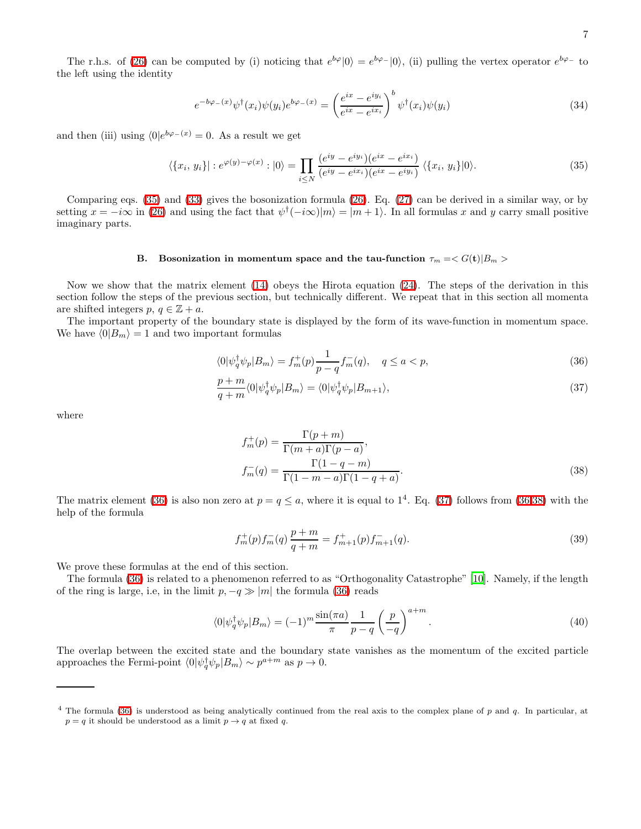The r.h.s. of [\(26\)](#page-4-3) can be computed by (i) noticing that  $e^{b\varphi}|0\rangle = e^{b\varphi-}|0\rangle$ , (ii) pulling the vertex operator  $e^{b\varphi-}$  to the left using the identity

<span id="page-6-4"></span><span id="page-6-0"></span>
$$
e^{-b\varphi_{-}(x)}\psi^{\dagger}(x_{i})\psi(y_{i})e^{b\varphi_{-}(x)} = \left(\frac{e^{ix}-e^{iy_{i}}}{e^{ix}-e^{ix_{i}}}\right)^{b}\psi^{\dagger}(x_{i})\psi(y_{i})\tag{34}
$$

and then (iii) using  $\langle 0|e^{b\varphi_-(x)}=0$ . As a result we get

$$
\langle \{x_i, y_i\} | : e^{\varphi(y) - \varphi(x)} : |0\rangle = \prod_{i \le N} \frac{(e^{iy} - e^{iy_i})(e^{ix} - e^{ix_i})}{(e^{iy} - e^{ix_i})(e^{ix} - e^{iy_i})} \langle \{x_i, y_i\} | 0 \rangle.
$$
 (35)

Comparing eqs. [\(35\)](#page-6-0) and [\(33\)](#page-5-1) gives the bosonization formula [\(26\)](#page-4-3). Eq. [\(27\)](#page-5-0) can be derived in a similar way, or by setting  $x = -i\infty$  in [\(26\)](#page-4-3) and using the fact that  $\psi^{\dagger}(-i\infty)|m\rangle = |m+1\rangle$ . In all formulas x and y carry small positive imaginary parts.

# B. Bosonization in momentum space and the tau-function  $\tau_m = \langle G(t) | B_m \rangle$

Now we show that the matrix element [\(14\)](#page-2-2) obeys the Hirota equation [\(24\)](#page-4-1). The steps of the derivation in this section follow the steps of the previous section, but technically different. We repeat that in this section all momenta are shifted integers  $p, q \in \mathbb{Z} + a$ .

The important property of the boundary state is displayed by the form of its wave-function in momentum space. We have  $\langle 0|B_m \rangle = 1$  and two important formulas

$$
\langle 0|\psi_q^{\dagger}\psi_p|B_m\rangle = f_m^+(p)\frac{1}{p-q}f_m^-(q), \quad q \le a < p,\tag{36}
$$

$$
\frac{p+m}{q+m}\langle 0|\psi_q^{\dagger}\psi_p|B_m\rangle = \langle 0|\psi_q^{\dagger}\psi_p|B_{m+1}\rangle,\tag{37}
$$

where

<span id="page-6-3"></span><span id="page-6-2"></span><span id="page-6-1"></span>
$$
f_m^+(p) = \frac{\Gamma(p+m)}{\Gamma(m+a)\Gamma(p-a)},
$$
  
\n
$$
f_m^-(q) = \frac{\Gamma(1-q-m)}{\Gamma(1-m-a)\Gamma(1-q+a)}.
$$
\n(38)

<span id="page-6-5"></span>The matrix element [\(36\)](#page-6-1) is also non zero at  $p = q \le a$ , where it is equal to  $1^4$ . Eq. [\(37\)](#page-6-2) follows from [\(36,](#page-6-1)[38\)](#page-6-3) with the help of the formula

$$
f_m^+(p)f_m^-(q)\frac{p+m}{q+m} = f_{m+1}^+(p)f_{m+1}^-(q). \tag{39}
$$

We prove these formulas at the end of this section.

The formula [\(36\)](#page-6-1) is related to a phenomenon referred to as "Orthogonality Catastrophe" [\[10\]](#page-13-2). Namely, if the length of the ring is large, i.e, in the limit  $p, -q \gg |m|$  the formula [\(36\)](#page-6-1) reads

$$
\langle 0|\psi_q^{\dagger}\psi_p|B_m\rangle = (-1)^m \frac{\sin(\pi a)}{\pi} \frac{1}{p-q} \left(\frac{p}{-q}\right)^{a+m}.
$$
\n(40)

The overlap between the excited state and the boundary state vanishes as the momentum of the excited particle approaches the Fermi-point  $\langle 0 | \psi_q^{\dagger} \psi_p | B_m \rangle \sim p^{a+m}$  as  $p \to 0$ .

 $4$  The formula [\(36\)](#page-6-1) is understood as being analytically continued from the real axis to the complex plane of p and q. In particular, at  $p = q$  it should be understood as a limit  $p \to q$  at fixed q.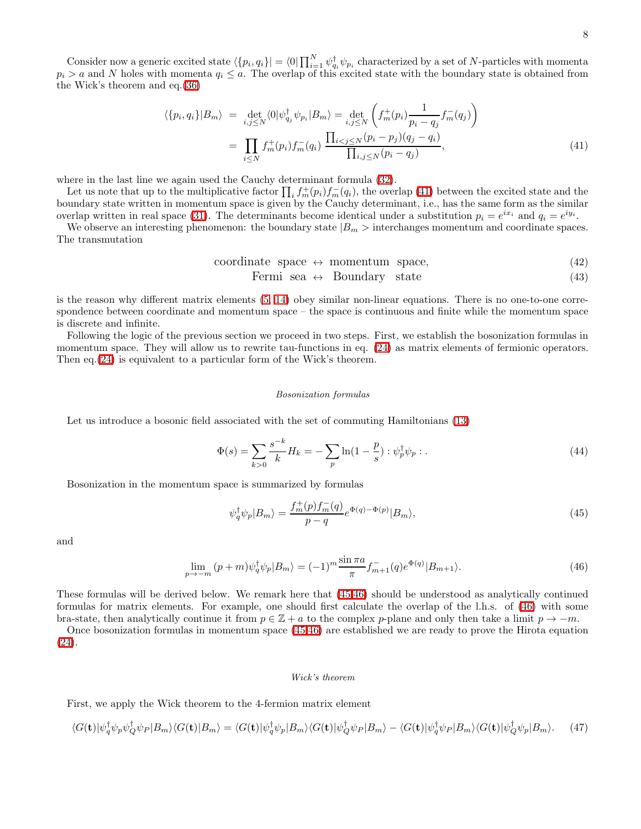<span id="page-7-0"></span>Consider now a generic excited state  $\langle \{p_i, q_i\} | = \langle 0 | \prod_{i=1}^N \psi_{q_i}^{\dagger} \psi_{p_i}$  characterized by a set of N-particles with momenta  $p_i > a$  and N holes with momenta  $q_i \leq a$ . The overlap of this excited state with the boundary state is obtained from the Wick's theorem and eq.[\(36\)](#page-6-1)

$$
\langle \{p_i, q_i\} | B_m \rangle = \det_{i,j \le N} \langle 0 | \psi_{q_j}^\dagger \psi_{p_i} | B_m \rangle = \det_{i,j \le N} \left( f_m^+(p_i) \frac{1}{p_i - q_j} f_m^-(q_j) \right)
$$

$$
= \prod_{i \le N} f_m^+(p_i) f_m^-(q_i) \frac{\prod_{i < j \le N} (p_i - p_j)(q_j - q_i)}{\prod_{i,j \le N} (p_i - q_j)},\tag{41}
$$

where in the last line we again used the Cauchy determinant formula [\(32\)](#page-5-2).

Let us note that up to the multiplicative factor  $\prod_i f_m^+(p_i) f_m^-(q_i)$ , the overlap [\(41\)](#page-7-0) between the excited state and the boundary state written in momentum space is given by the Cauchy determinant, i.e., has the same form as the similar overlap written in real space [\(31\)](#page-5-3). The determinants become identical under a substitution  $p_i = e^{ix_i}$  and  $q_i = e^{iy_i}$ .

We observe an interesting phenomenon: the boundary state  $|B_m|$  interchanges momentum and coordinate spaces. The transmutation

$$
coordinate space \leftrightarrow momentum space,
$$
\n(42)

Fermi sea  $\leftrightarrow$  Boundary state (43)

is the reason why different matrix elements [\(5,](#page-1-2) [14\)](#page-2-2) obey similar non-linear equations. There is no one-to-one correspondence between coordinate and momentum space – the space is continuous and finite while the momentum space is discrete and infinite.

Following the logic of the previous section we proceed in two steps. First, we establish the bosonization formulas in momentum space. They will allow us to rewrite tau-functions in eq.  $(24)$  as matrix elements of fermionic operators. Then eq.[\(24\)](#page-4-1) is equivalent to a particular form of the Wick's theorem.

#### <span id="page-7-3"></span><span id="page-7-1"></span>Bosonization formulas

Let us introduce a bosonic field associated with the set of commuting Hamiltonians [\(13\)](#page-2-0)

$$
\Phi(s) = \sum_{k>0} \frac{s^{-k}}{k} H_k = -\sum_{p} \ln(1 - \frac{p}{s}) : \psi_p^{\dagger} \psi_p : .
$$
\n(44)

Bosonization in the momentum space is summarized by formulas

$$
\psi_q^{\dagger} \psi_p | B_m \rangle = \frac{f_m^+(p) f_m^-(q)}{p - q} e^{\Phi(q) - \Phi(p)} | B_m \rangle, \tag{45}
$$

and

$$
\lim_{p \to -m} (p+m)\psi_q^{\dagger} \psi_p |B_m\rangle = (-1)^m \frac{\sin \pi a}{\pi} f_{m+1}^-(q) e^{\Phi(q)} |B_{m+1}\rangle. \tag{46}
$$

These formulas will be derived below. We remark here that [\(45,](#page-7-1)[46\)](#page-7-2) should be understood as analytically continued formulas for matrix elements. For example, one should first calculate the overlap of the l.h.s. of [\(46\)](#page-7-2) with some bra-state, then analytically continue it from  $p \in \mathbb{Z} + a$  to the complex p-plane and only then take a limit  $p \to -m$ .

Once bosonization formulas in momentum space [\(45](#page-7-1)[,46\)](#page-7-2) are established we are ready to prove the Hirota equation [\(24\)](#page-4-1).

#### <span id="page-7-2"></span>Wick's theorem

First, we apply the Wick theorem to the 4-fermion matrix element

$$
\langle G(\mathbf{t}) | \psi_q^{\dagger} \psi_p \psi_Q^{\dagger} \psi_P | B_m \rangle \langle G(\mathbf{t}) | B_m \rangle = \langle G(\mathbf{t}) | \psi_q^{\dagger} \psi_p | B_m \rangle \langle G(\mathbf{t}) | \psi_Q^{\dagger} \psi_P | B_m \rangle - \langle G(\mathbf{t}) | \psi_q^{\dagger} \psi_P | B_m \rangle \langle G(\mathbf{t}) | \psi_Q^{\dagger} \psi_p | B_m \rangle. \tag{47}
$$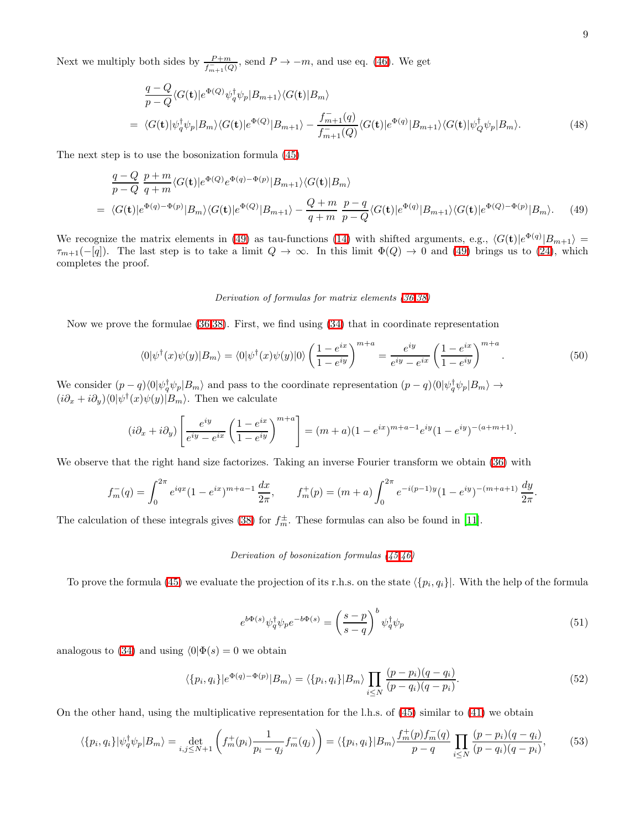Next we multiply both sides by  $\frac{P+m}{f_{m+1}^-(Q)}$ , send  $P \to -m$ , and use eq. [\(46\)](#page-7-2). We get

$$
\frac{q-Q}{p-Q}\langle G(\mathbf{t})|e^{\Phi(Q)}\psi_q^{\dagger}\psi_p|B_{m+1}\rangle\langle G(\mathbf{t})|B_m\rangle
$$
\n
$$
= \langle G(\mathbf{t})|\psi_q^{\dagger}\psi_p|B_m\rangle\langle G(\mathbf{t})|e^{\Phi(Q)}|B_{m+1}\rangle - \frac{f_{m+1}^-(q)}{f_{m+1}^-(Q)}\langle G(\mathbf{t})|e^{\Phi(q)}|B_{m+1}\rangle\langle G(\mathbf{t})|\psi_Q^{\dagger}\psi_p|B_m\rangle. \tag{48}
$$

<span id="page-8-0"></span>The next step is to use the bosonization formula [\(45\)](#page-7-1)

$$
\frac{q-Q}{p-Q} \frac{p+m}{q+m} \langle G(\mathbf{t}) | e^{\Phi(Q)} e^{\Phi(q)-\Phi(p)} | B_{m+1} \rangle \langle G(\mathbf{t}) | B_m \rangle
$$
\n
$$
= \langle G(\mathbf{t}) | e^{\Phi(q)-\Phi(p)} | B_m \rangle \langle G(\mathbf{t}) | e^{\Phi(Q)} | B_{m+1} \rangle - \frac{Q+m}{q+m} \frac{p-q}{p-Q} \langle G(\mathbf{t}) | e^{\Phi(q)} | B_{m+1} \rangle \langle G(\mathbf{t}) | e^{\Phi(Q)-\Phi(p)} | B_m \rangle. \tag{49}
$$

We recognize the matrix elements in [\(49\)](#page-8-0) as tau-functions [\(14\)](#page-2-2) with shifted arguments, e.g.,  $\langle G(\mathbf{t})|e^{\Phi(q)}|B_{m+1}\rangle =$  $\tau_{m+1}(-[q])$ . The last step is to take a limit  $Q \to \infty$ . In this limit  $\Phi(Q) \to 0$  and [\(49\)](#page-8-0) brings us to [\(24\)](#page-4-1), which completes the proof.

### Derivation of formulas for matrix elements [\(36,](#page-6-1)[38\)](#page-6-3)

Now we prove the formulae [\(36](#page-6-1)[,38\)](#page-6-3). First, we find using [\(34\)](#page-6-4) that in coordinate representation

$$
\langle 0|\psi^{\dagger}(x)\psi(y)|B_{m}\rangle = \langle 0|\psi^{\dagger}(x)\psi(y)|0\rangle \left(\frac{1-e^{ix}}{1-e^{iy}}\right)^{m+a} = \frac{e^{iy}}{e^{iy}-e^{ix}} \left(\frac{1-e^{ix}}{1-e^{iy}}\right)^{m+a}.\tag{50}
$$

We consider  $(p-q)\langle 0|\psi_q^{\dagger}\psi_p|B_m\rangle$  and pass to the coordinate representation  $(p-q)\langle 0|\psi_q^{\dagger}\psi_p|B_m\rangle \rightarrow$  $(i\partial_x + i\partial_y)\langle 0|\psi^\dagger(x)\psi(y)|B_m\rangle$ . Then we calculate

$$
(i\partial_x + i\partial_y) \left[ \frac{e^{iy}}{e^{iy} - e^{ix}} \left( \frac{1 - e^{ix}}{1 - e^{iy}} \right)^{m+a} \right] = (m+a)(1 - e^{ix})^{m+a-1} e^{iy} (1 - e^{iy})^{-(a+m+1)}.
$$

We observe that the right hand size factorizes. Taking an inverse Fourier transform we obtain [\(36\)](#page-6-1) with

$$
f_m^-(q) = \int_0^{2\pi} e^{iqx} (1 - e^{ix})^{m+a-1} \frac{dx}{2\pi}, \qquad f_m^+(p) = (m+a) \int_0^{2\pi} e^{-i(p-1)y} (1 - e^{iy})^{-(m+a+1)} \frac{dy}{2\pi}.
$$

The calculation of these integrals gives [\(38\)](#page-6-3) for  $f_m^{\pm}$ . These formulas can also be found in [\[11\]](#page-13-9).

### Derivation of bosonization formulas [\(45](#page-7-1)[,46\)](#page-7-2)

To prove the formula [\(45\)](#page-7-1) we evaluate the projection of its r.h.s. on the state  $\langle \{p_i, q_i\} |$ . With the help of the formula

<span id="page-8-2"></span><span id="page-8-1"></span>
$$
e^{b\Phi(s)}\psi_q^{\dagger}\psi_p e^{-b\Phi(s)} = \left(\frac{s-p}{s-q}\right)^b \psi_q^{\dagger}\psi_p \tag{51}
$$

analogous to [\(34\)](#page-6-4) and using  $\langle 0|\Phi(s) = 0$  we obtain

$$
\langle \{p_i, q_i\} | e^{\Phi(q) - \Phi(p)} | B_m \rangle = \langle \{p_i, q_i\} | B_m \rangle \prod_{i \le N} \frac{(p - p_i)(q - q_i)}{(p - q_i)(q - p_i)}.
$$
\n
$$
(52)
$$

On the other hand, using the multiplicative representation for the l.h.s. of [\(45\)](#page-7-1) similar to [\(41\)](#page-7-0) we obtain

$$
\langle \{p_i, q_i\} | \psi_q^{\dagger} \psi_p | B_m \rangle = \det_{i,j \le N+1} \left( f_m^+(p_i) \frac{1}{p_i - q_j} f_m^-(q_j) \right) = \langle \{p_i, q_i\} | B_m \rangle \frac{f_m^+(p) f_m^-(q)}{p - q} \prod_{i \le N} \frac{(p - p_i)(q - q_i)}{(p - q_i)(q - p_i)},\tag{53}
$$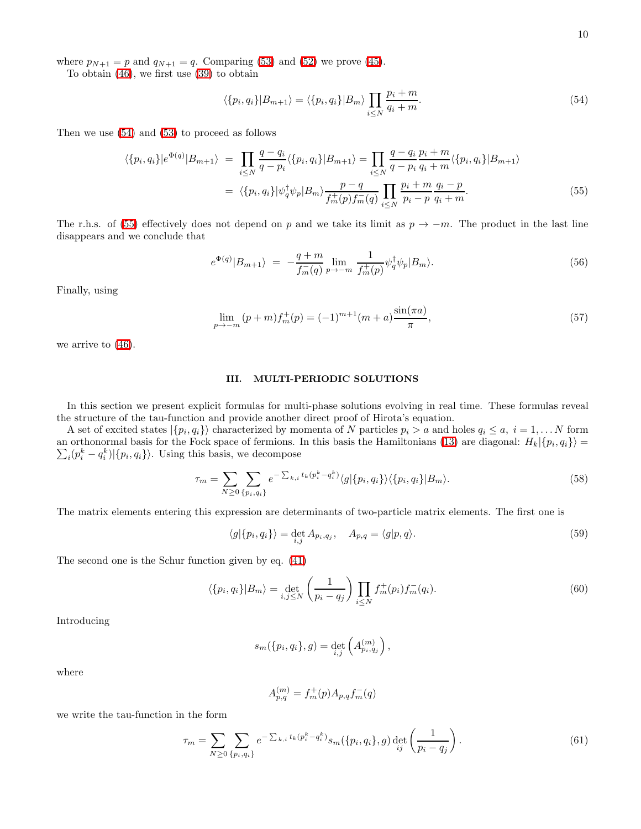where  $p_{N+1} = p$  and  $q_{N+1} = q$ . Comparing [\(53\)](#page-8-1) and [\(52\)](#page-8-2) we prove [\(45\)](#page-7-1).

To obtain [\(46\)](#page-7-2), we first use [\(39\)](#page-6-5) to obtain

<span id="page-9-1"></span>
$$
\langle \{p_i, q_i\} | B_{m+1} \rangle = \langle \{p_i, q_i\} | B_m \rangle \prod_{i \le N} \frac{p_i + m}{q_i + m}.\tag{54}
$$

<span id="page-9-2"></span>Then we use [\(54\)](#page-9-1) and [\(53\)](#page-8-1) to proceed as follows

$$
\langle \{p_i, q_i\} | e^{\Phi(q)} | B_{m+1} \rangle = \prod_{i \le N} \frac{q - q_i}{q - p_i} \langle \{p_i, q_i\} | B_{m+1} \rangle = \prod_{i \le N} \frac{q - q_i}{q - p_i} \frac{p_i + m}{q_i + m} \langle \{p_i, q_i\} | B_{m+1} \rangle
$$

$$
= \langle \{p_i, q_i\} | \psi_q^{\dagger} \psi_p | B_m \rangle \frac{p - q}{f_m^{\dagger}(p) f_m^{\dagger}(q)} \prod_{i \le N} \frac{p_i + m}{p_i - p} \frac{q_i - p}{q_i + m}.
$$
(55)

The r.h.s. of [\(55\)](#page-9-2) effectively does not depend on p and we take its limit as  $p \to -m$ . The product in the last line disappears and we conclude that

$$
e^{\Phi(q)}|B_{m+1}\rangle = -\frac{q+m}{f_m(q)}\lim_{p\to -m} \frac{1}{f_m^+(p)}\psi_q^\dagger\psi_p|B_m\rangle.
$$
\n(56)

Finally, using

$$
\lim_{p \to -m} (p+m) f_m^+(p) = (-1)^{m+1} (m+a) \frac{\sin(\pi a)}{\pi},\tag{57}
$$

we arrive to [\(46\)](#page-7-2).

# <span id="page-9-0"></span>III. MULTI-PERIODIC SOLUTIONS

In this section we present explicit formulas for multi-phase solutions evolving in real time. These formulas reveal the structure of the tau-function and provide another direct proof of Hirota's equation.

A set of excited states  $|\{p_i, q_i\}\rangle$  characterized by momenta of N particles  $p_i > a$  and holes  $q_i \leq a, i = 1, \ldots N$  form an orthonormal basis for the Fock space of fermions. In this basis the Hamiltonians [\(13\)](#page-2-0) are diagonal:  $H_k\{p_i, q_i\}$  =  $\sum_i (p_i^k - q_i^k) | \{p_i, q_i\} \rangle$ . Using this basis, we decompose

$$
\tau_m = \sum_{N \ge 0} \sum_{\{p_i, q_i\}} e^{-\sum_{k,i} t_k(p_i^k - q_i^k)} \langle g | \{p_i, q_i\} \rangle \langle \{p_i, q_i\} | B_m \rangle. \tag{58}
$$

The matrix elements entering this expression are determinants of two-particle matrix elements. The first one is

<span id="page-9-3"></span>
$$
\langle g|\{p_i, q_i\}\rangle = \det_{i,j} A_{p_i, q_j}, \quad A_{p,q} = \langle g|p, q\rangle.
$$
 (59)

The second one is the Schur function given by eq. [\(41\)](#page-7-0)

$$
\langle \{p_i, q_i\} | B_m \rangle = \det_{i,j \le N} \left(\frac{1}{p_i - q_j}\right) \prod_{i \le N} f_m^+(p_i) f_m^-(q_i). \tag{60}
$$

Introducing

$$
s_m(\{p_i, q_i\}, g) = \det_{i,j} \left( A_{p_i, q_j}^{(m)} \right),
$$

where

$$
A_{p,q}^{(m)} = f_m^+(p) A_{p,q} f_m^-(q)
$$

we write the tau-function in the form

<span id="page-9-4"></span>
$$
\tau_m = \sum_{N \ge 0} \sum_{\{p_i, q_i\}} e^{-\sum_{k,i} t_k (p_i^k - q_i^k)} s_m(\{p_i, q_i\}, g) \det_{ij} \left(\frac{1}{p_i - q_j}\right). \tag{61}
$$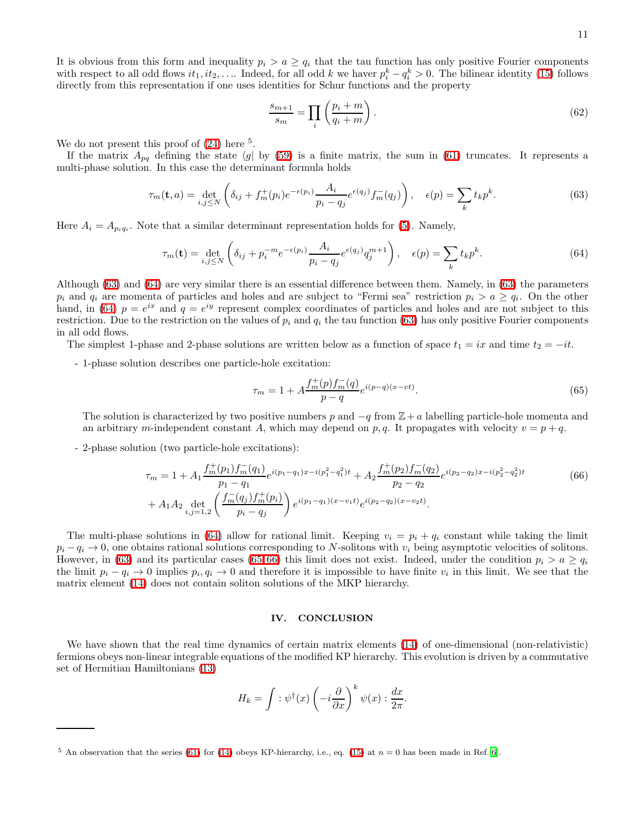11

It is obvious from this form and inequality  $p_i > a \geq q_i$  that the tau function has only positive Fourier components with respect to all odd flows  $it_1, it_2, \ldots$  Indeed, for all odd k we haver  $p_i^k - q_i^k > 0$ . The bilinear identity [\(15\)](#page-2-1) follows directly from this representation if one uses identities for Schur functions and the property

<span id="page-10-4"></span><span id="page-10-1"></span><span id="page-10-0"></span>
$$
\frac{s_{m+1}}{s_m} = \prod_i \left( \frac{p_i + m}{q_i + m} \right). \tag{62}
$$

We do not present this proof of  $(24)$  here <sup>5</sup>.

If the matrix  $A_{pq}$  defining the state  $\langle g | b y (59)$  $\langle g | b y (59)$  is a finite matrix, the sum in [\(61\)](#page-9-4) truncates. It represents a multi-phase solution. In this case the determinant formula holds

$$
\tau_m(\mathbf{t}, a) = \det_{i,j \le N} \left( \delta_{ij} + f_m^+(p_i) e^{-\epsilon(p_i)} \frac{A_i}{p_i - q_j} e^{\epsilon(q_j)} f_m^-(q_j) \right), \quad \epsilon(p) = \sum_k t_k p^k. \tag{63}
$$

Here  $A_i = A_{p_i q_i}$ . Note that a similar determinant representation holds for [\(5\)](#page-1-2). Namely,

$$
\tau_m(\mathbf{t}) = \det_{i,j \le N} \left( \delta_{ij} + p_i^{-m} e^{-\epsilon(p_i)} \frac{A_i}{p_i - q_j} e^{\epsilon(q_j)} q_j^{m+1} \right), \quad \epsilon(p) = \sum_k t_k p^k. \tag{64}
$$

Although [\(63\)](#page-10-0) and [\(64\)](#page-10-1) are very similar there is an essential difference between them. Namely, in [\(63\)](#page-10-0) the parameters  $p_i$  and  $q_i$  are momenta of particles and holes and are subject to "Fermi sea" restriction  $p_i > a \ge q_i$ . On the other hand, in [\(64\)](#page-10-1)  $p = e^{ix}$  and  $q = e^{iy}$  represent complex coordinates of particles and holes and are not subject to this restriction. Due to the restriction on the values of  $p_i$  and  $q_i$  the tau function [\(63\)](#page-10-0) has only positive Fourier components in all odd flows.

The simplest 1-phase and 2-phase solutions are written below as a function of space  $t_1 = ix$  and time  $t_2 = -it$ .

- 1-phase solution describes one particle-hole excitation:

<span id="page-10-3"></span><span id="page-10-2"></span>
$$
\tau_m = 1 + A \frac{f_m^+(p) f_m^-(q)}{p - q} e^{i(p - q)(x - vt)}.
$$
\n(65)

.

The solution is characterized by two positive numbers p and  $-q$  from  $\mathbb{Z}+a$  labelling particle-hole momenta and an arbitrary m-independent constant A, which may depend on p, q. It propagates with velocity  $v = p + q$ .

- 2-phase solution (two particle-hole excitations):

$$
\tau_m = 1 + A_1 \frac{f_m^+(p_1)f_m^-(q_1)}{p_1 - q_1} e^{i(p_1 - q_1)x - i(p_1^2 - q_1^2)t} + A_2 \frac{f_m^+(p_2)f_m^-(q_2)}{p_2 - q_2} e^{i(p_2 - q_2)x - i(p_2^2 - q_2^2)t}
$$
\n
$$
+ A_1 A_2 \det_{i,j=1,2} \left( \frac{f_m^-(q_j)f_m^+(p_i)}{p_i - q_j} \right) e^{i(p_1 - q_1)(x - v_1 t)} e^{i(p_2 - q_2)(x - v_2 t)}.
$$
\n(66)

The multi-phase solutions in [\(64\)](#page-10-1) allow for rational limit. Keeping  $v_i = p_i + q_i$  constant while taking the limit  $p_i - q_i \rightarrow 0$ , one obtains rational solutions corresponding to N-solitons with  $v_i$  being asymptotic velocities of solitons. However, in [\(63\)](#page-10-0) and its particular cases [\(65](#page-10-2),[66\)](#page-10-3) this limit does not exist. Indeed, under the condition  $p_i > a \geq q_i$ the limit  $p_i - q_i \to 0$  implies  $p_i, q_i \to 0$  and therefore it is impossible to have finite  $v_i$  in this limit. We see that the matrix element [\(14\)](#page-2-2) does not contain soliton solutions of the MKP hierarchy.

## IV. CONCLUSION

We have shown that the real time dynamics of certain matrix elements [\(14\)](#page-2-2) of one-dimensional (non-relativistic) fermions obeys non-linear integrable equations of the modified KP hierarchy. This evolution is driven by a commutative set of Hermitian Hamiltonians [\(13\)](#page-2-0)

$$
H_k = \int : \psi^{\dagger}(x) \left( -i \frac{\partial}{\partial x} \right)^k \psi(x) : \frac{dx}{2\pi}
$$

<sup>&</sup>lt;sup>5</sup> An observation that the series [\(61\)](#page-9-4) for [\(14\)](#page-2-2) obeys KP-hierarchy, i.e., eq. [\(15\)](#page-2-1) at  $n = 0$  has been made in Ref.[\[6](#page-13-6)].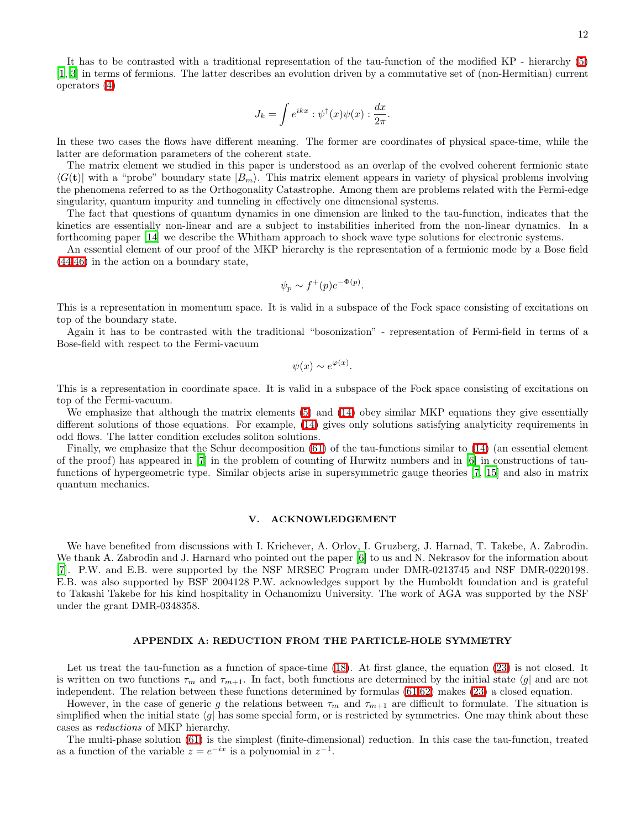12

It has to be contrasted with a traditional representation of the tau-function of the modified KP - hierarchy [\(5\)](#page-1-2) [\[1,](#page-12-0) [3\]](#page-12-2) in terms of fermions. The latter describes an evolution driven by a commutative set of (non-Hermitian) current operators [\(4\)](#page-1-3)

$$
J_k = \int e^{ikx} : \psi^{\dagger}(x)\psi(x) : \frac{dx}{2\pi}.
$$

In these two cases the flows have different meaning. The former are coordinates of physical space-time, while the latter are deformation parameters of the coherent state.

The matrix element we studied in this paper is understood as an overlap of the evolved coherent fermionic state  $\langle G(t) \rangle$  with a "probe" boundary state  $|B_m\rangle$ . This matrix element appears in variety of physical problems involving the phenomena referred to as the Orthogonality Catastrophe. Among them are problems related with the Fermi-edge singularity, quantum impurity and tunneling in effectively one dimensional systems.

The fact that questions of quantum dynamics in one dimension are linked to the tau-function, indicates that the kinetics are essentially non-linear and are a subject to instabilities inherited from the non-linear dynamics. In a forthcoming paper [\[14](#page-13-4)] we describe the Whitham approach to shock wave type solutions for electronic systems.

An essential element of our proof of the MKP hierarchy is the representation of a fermionic mode by a Bose field [\(44,](#page-7-3)[46\)](#page-7-2) in the action on a boundary state,

$$
\psi_p \sim f^+(p) e^{-\Phi(p)}.
$$

This is a representation in momentum space. It is valid in a subspace of the Fock space consisting of excitations on top of the boundary state.

Again it has to be contrasted with the traditional "bosonization" - representation of Fermi-field in terms of a Bose-field with respect to the Fermi-vacuum

$$
\psi(x) \sim e^{\varphi(x)}.
$$

This is a representation in coordinate space. It is valid in a subspace of the Fock space consisting of excitations on top of the Fermi-vacuum.

We emphasize that although the matrix elements [\(5\)](#page-1-2) and [\(14\)](#page-2-2) obey similar MKP equations they give essentially different solutions of those equations. For example, [\(14\)](#page-2-2) gives only solutions satisfying analyticity requirements in odd flows. The latter condition excludes soliton solutions.

Finally, we emphasize that the Schur decomposition [\(61\)](#page-9-4) of the tau-functions similar to [\(14\)](#page-2-2) (an essential element of the proof) has appeared in [\[7](#page-13-7)] in the problem of counting of Hurwitz numbers and in [\[6\]](#page-13-6) in constructions of taufunctions of hypergeometric type. Similar objects arise in supersymmetric gauge theories [\[7](#page-13-7), [15\]](#page-13-10) and also in matrix quantum mechanics.

## V. ACKNOWLEDGEMENT

We have benefited from discussions with I. Krichever, A. Orlov, I. Gruzberg, J. Harnad, T. Takebe, A. Zabrodin. We thank A. Zabrodin and J. Harnard who pointed out the paper [\[6\]](#page-13-6) to us and N. Nekrasov for the information about [\[7\]](#page-13-7). P.W. and E.B. were supported by the NSF MRSEC Program under DMR-0213745 and NSF DMR-0220198. E.B. was also supported by BSF 2004128 P.W. acknowledges support by the Humboldt foundation and is grateful to Takashi Takebe for his kind hospitality in Ochanomizu University. The work of AGA was supported by the NSF under the grant DMR-0348358.

### APPENDIX A: REDUCTION FROM THE PARTICLE-HOLE SYMMETRY

<span id="page-11-0"></span>Let us treat the tau-function as a function of space-time [\(18\)](#page-3-0). At first glance, the equation [\(23\)](#page-4-0) is not closed. It is written on two functions  $\tau_m$  and  $\tau_{m+1}$ . In fact, both functions are determined by the initial state  $\langle g|$  and are not independent. The relation between these functions determined by formulas [\(61,](#page-9-4)[62\)](#page-10-4) makes [\(23\)](#page-4-0) a closed equation.

However, in the case of generic g the relations between  $\tau_m$  and  $\tau_{m+1}$  are difficult to formulate. The situation is simplified when the initial state  $\langle g \rangle$  has some special form, or is restricted by symmetries. One may think about these cases as reductions of MKP hierarchy.

The multi-phase solution [\(61\)](#page-9-4) is the simplest (finite-dimensional) reduction. In this case the tau-function, treated as a function of the variable  $z = e^{-ix}$  is a polynomial in  $z^{-1}$ .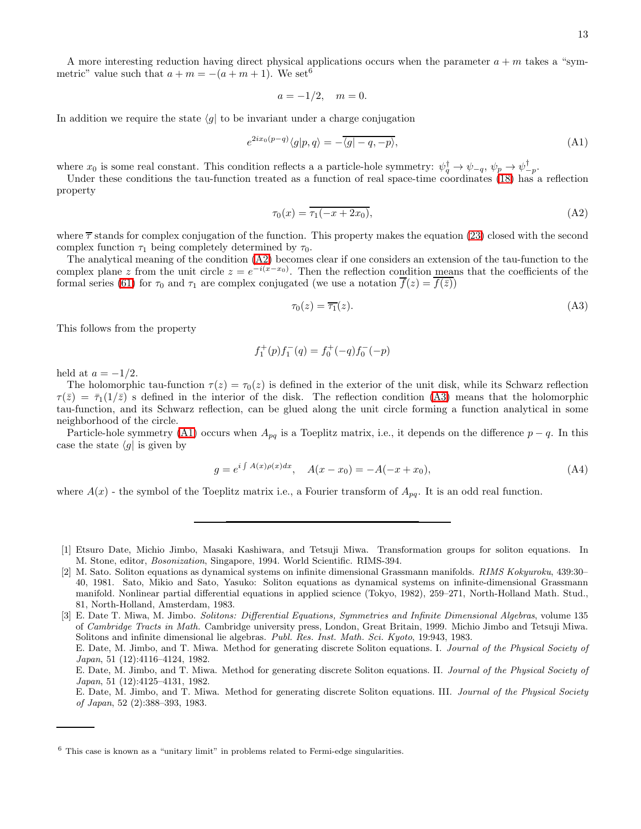A more interesting reduction having direct physical applications occurs when the parameter  $a + m$  takes a "symmetric" value such that  $a + m = -(a + m + 1)$ . We set<sup>6</sup>

<span id="page-12-5"></span>
$$
a = -1/2, \quad m = 0.
$$

In addition we require the state  $\langle g |$  to be invariant under a charge conjugation

$$
e^{2ix_0(p-q)}\langle g|p,q\rangle = -\overline{\langle g|-q,-p\rangle},\tag{A1}
$$

where  $x_0$  is some real constant. This condition reflects a a particle-hole symmetry:  $\psi_q^{\dagger} \to \psi_{-q}$ ,  $\psi_p \to \psi_{-p}^{\dagger}$ .

<span id="page-12-3"></span>Under these conditions the tau-function treated as a function of real space-time coordinates [\(18\)](#page-3-0) has a reflection property

$$
\tau_0(x) = \overline{\tau_1(-x + 2x_0)},
$$
\n(A2)

where  $\bar{\tau}$  stands for complex conjugation of the function. This property makes the equation [\(23\)](#page-4-0) closed with the second complex function  $\tau_1$  being completely determined by  $\tau_0$ .

The analytical meaning of the condition [\(A2\)](#page-12-3) becomes clear if one considers an extension of the tau-function to the complex plane z from the unit circle  $z = e^{-i(x-x_0)}$ . Then the reflection condition means that the coefficients of the formal series [\(61\)](#page-9-4) for  $\tau_0$  and  $\tau_1$  are complex conjugated (we use a notation  $\overline{f}(z) = \overline{f(\overline{z})}$ )

<span id="page-12-4"></span>
$$
\tau_0(z) = \overline{\tau_1}(z). \tag{A3}
$$

This follows from the property

$$
f_1^+(p)f_1^-(q) = f_0^+(-q)f_0^-(-p)
$$

held at  $a = -1/2$ .

The holomorphic tau-function  $\tau(z) = \tau_0(z)$  is defined in the exterior of the unit disk, while its Schwarz reflection  $\tau(\bar{z}) = \bar{\tau}_1(1/\bar{z})$  s defined in the interior of the disk. The reflection condition [\(A3\)](#page-12-4) means that the holomorphic tau-function, and its Schwarz reflection, can be glued along the unit circle forming a function analytical in some neighborhood of the circle.

Particle-hole symmetry [\(A1\)](#page-12-5) occurs when  $A_{pq}$  is a Toeplitz matrix, i.e., it depends on the difference  $p - q$ . In this case the state  $\langle q |$  is given by

$$
g = e^{i \int A(x)\rho(x)dx}, \quad A(x - x_0) = -A(-x + x_0), \tag{A4}
$$

where  $A(x)$  - the symbol of the Toeplitz matrix i.e., a Fourier transform of  $A_{pq}$ . It is an odd real function.

E. Date, M. Jimbo, and T. Miwa. Method for generating discrete Soliton equations. III. Journal of the Physical Society of Japan, 52 (2):388–393, 1983.

<span id="page-12-0"></span><sup>[1]</sup> Etsuro Date, Michio Jimbo, Masaki Kashiwara, and Tetsuji Miwa. Transformation groups for soliton equations. In M. Stone, editor, Bosonization, Singapore, 1994. World Scientific. RIMS-394.

<span id="page-12-1"></span><sup>[2]</sup> M. Sato. Soliton equations as dynamical systems on infinite dimensional Grassmann manifolds. RIMS Kokyuroku, 439:30– 40, 1981. Sato, Mikio and Sato, Yasuko: Soliton equations as dynamical systems on infinite-dimensional Grassmann manifold. Nonlinear partial differential equations in applied science (Tokyo, 1982), 259–271, North-Holland Math. Stud., 81, North-Holland, Amsterdam, 1983.

<span id="page-12-2"></span><sup>[3]</sup> E. Date T. Miwa, M. Jimbo. Solitons: Differential Equations, Symmetries and Infinite Dimensional Algebras, volume 135 of Cambridge Tracts in Math. Cambridge university press, London, Great Britain, 1999. Michio Jimbo and Tetsuji Miwa. Solitons and infinite dimensional lie algebras. Publ. Res. Inst. Math. Sci. Kyoto, 19:943, 1983. E. Date, M. Jimbo, and T. Miwa. Method for generating discrete Soliton equations. I. Journal of the Physical Society of

Japan, 51 (12):4116–4124, 1982.

E. Date, M. Jimbo, and T. Miwa. Method for generating discrete Soliton equations. II. Journal of the Physical Society of Japan, 51 (12):4125–4131, 1982.

 $6$  This case is known as a "unitary limit" in problems related to Fermi-edge singularities.